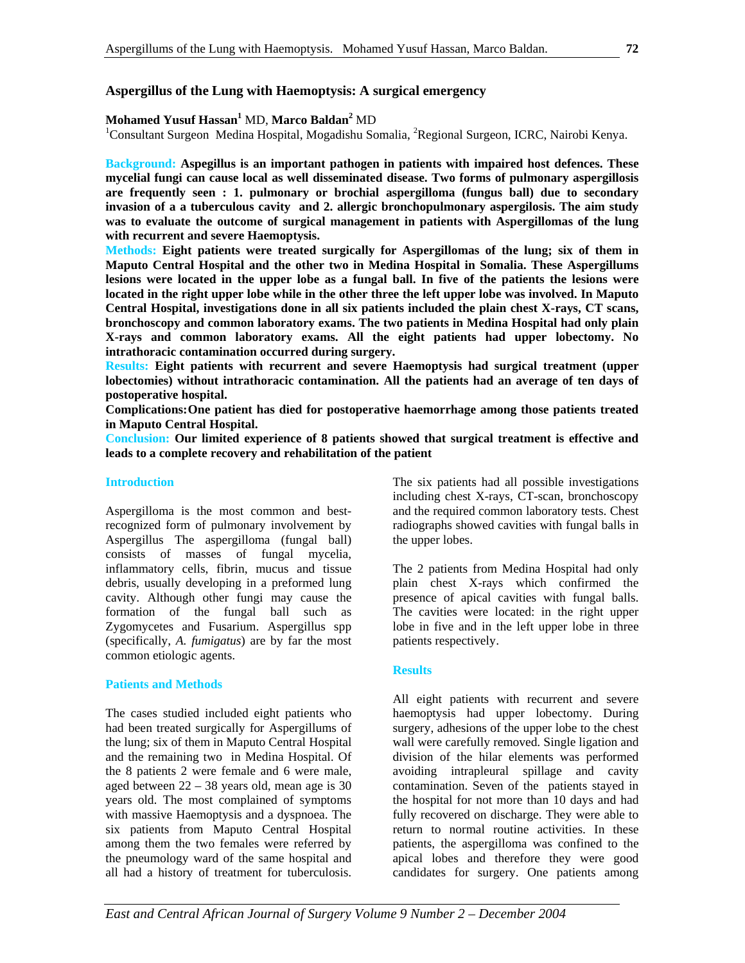## **Aspergillus of the Lung with Haemoptysis: A surgical emergency**

# **Mohamed Yusuf Hassan<sup>1</sup> MD, Marco Baldan<sup>2</sup> MD<br><sup>1</sup>Consultant Surgeon, Medina Hospital, Mogedishy So**

Consultant Surgeon Medina Hospital, Mogadishu Somalia, <sup>2</sup>Regional Surgeon, ICRC, Nairobi Kenya.

**Background: Aspegillus is an important pathogen in patients with impaired host defences. These mycelial fungi can cause local as well disseminated disease. Two forms of pulmonary aspergillosis are frequently seen : 1. pulmonary or brochial aspergilloma (fungus ball) due to secondary invasion of a a tuberculous cavity and 2. allergic bronchopulmonary aspergilosis. The aim study was to evaluate the outcome of surgical management in patients with Aspergillomas of the lung with recurrent and severe Haemoptysis.** 

**Methods: Eight patients were treated surgically for Aspergillomas of the lung; six of them in Maputo Central Hospital and the other two in Medina Hospital in Somalia. These Aspergillums lesions were located in the upper lobe as a fungal ball. In five of the patients the lesions were located in the right upper lobe while in the other three the left upper lobe was involved. In Maputo Central Hospital, investigations done in all six patients included the plain chest X-rays, CT scans, bronchoscopy and common laboratory exams. The two patients in Medina Hospital had only plain X-rays and common laboratory exams. All the eight patients had upper lobectomy. No intrathoracic contamination occurred during surgery.** 

**Results: Eight patients with recurrent and severe Haemoptysis had surgical treatment (upper lobectomies) without intrathoracic contamination. All the patients had an average of ten days of postoperative hospital.** 

**Complications: One patient has died for postoperative haemorrhage among those patients treated in Maputo Central Hospital.** 

**Conclusion: Our limited experience of 8 patients showed that surgical treatment is effective and leads to a complete recovery and rehabilitation of the patient** 

#### **Introduction**

Aspergilloma is the most common and bestrecognized form of pulmonary involvement by Aspergillus The aspergilloma (fungal ball) consists of masses of fungal mycelia, inflammatory cells, fibrin, mucus and tissue debris, usually developing in a preformed lung cavity. Although other fungi may cause the formation of the fungal ball such as Zygomycetes and Fusarium. Aspergillus spp (specifically, *A. fumigatus*) are by far the most common etiologic agents.

#### **Patients and Methods**

The cases studied included eight patients who had been treated surgically for Aspergillums of the lung; six of them in Maputo Central Hospital and the remaining two in Medina Hospital. Of the 8 patients 2 were female and 6 were male, aged between 22 – 38 years old, mean age is 30 years old. The most complained of symptoms with massive Haemoptysis and a dyspnoea. The six patients from Maputo Central Hospital among them the two females were referred by the pneumology ward of the same hospital and all had a history of treatment for tuberculosis. The six patients had all possible investigations including chest X-rays, CT-scan, bronchoscopy and the required common laboratory tests. Chest radiographs showed cavities with fungal balls in the upper lobes.

The 2 patients from Medina Hospital had only plain chest X-rays which confirmed the presence of apical cavities with fungal balls. The cavities were located: in the right upper lobe in five and in the left upper lobe in three patients respectively.

#### **Results**

All eight patients with recurrent and severe haemoptysis had upper lobectomy. During surgery, adhesions of the upper lobe to the chest wall were carefully removed. Single ligation and division of the hilar elements was performed avoiding intrapleural spillage and cavity contamination. Seven of the patients stayed in the hospital for not more than 10 days and had fully recovered on discharge. They were able to return to normal routine activities. In these patients, the aspergilloma was confined to the apical lobes and therefore they were good candidates for surgery. One patients among

*East and Central African Journal of Surgery Volume 9 Number 2 – December 2004*